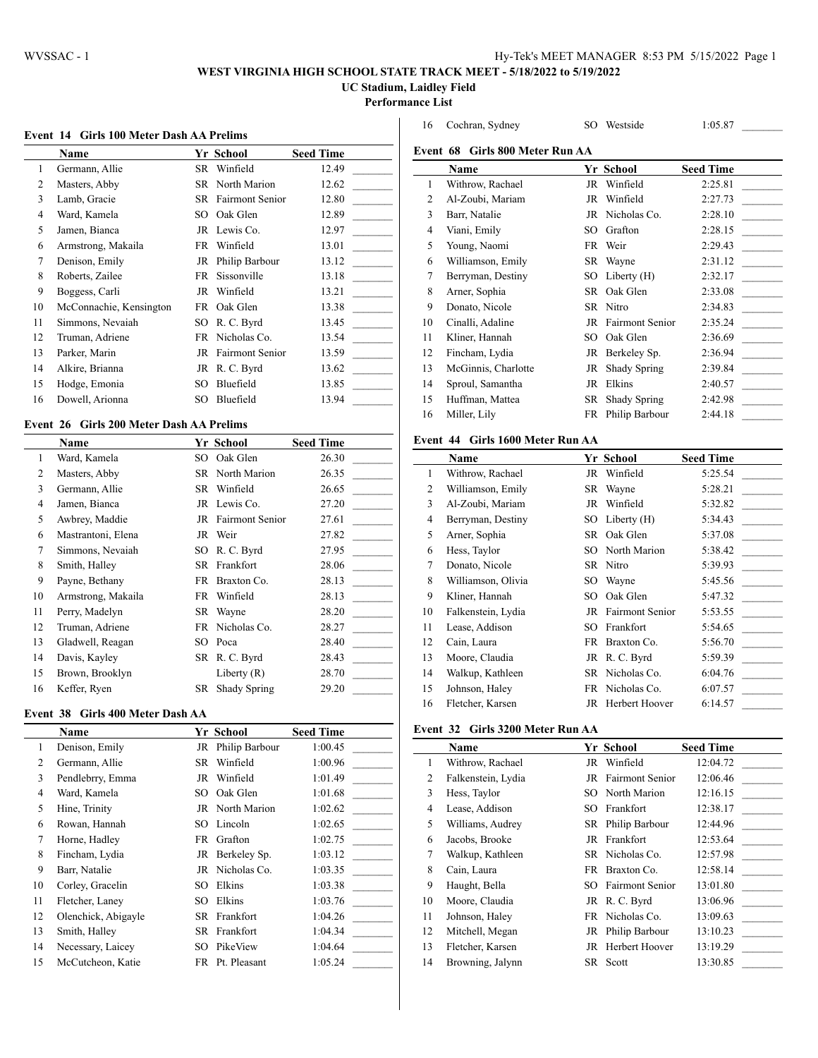$\overline{a}$ 

# **WEST VIRGINIA HIGH SCHOOL STATE TRACK MEET - 5/18/2022 to 5/19/2022**

**UC Stadium, Laidley Field**

**Performance List**

#### **Event 14 Girls 100 Meter Dash AA Prelims**

|    | <b>Name</b>             |     | Yr School                 | <b>Seed Time</b> |
|----|-------------------------|-----|---------------------------|------------------|
| 1  | Germann, Allie          | SR. | Winfield                  | 12.49            |
| 2  | Masters, Abby           |     | SR North Marion           | 12.62            |
| 3  | Lamb, Gracie            |     | <b>SR</b> Fairmont Senior | 12.80            |
| 4  | Ward, Kamela            | SO  | Oak Glen                  | 12.89            |
| 5  | Jamen, Bianca           | JR  | Lewis Co.                 | 12.97            |
| 6  | Armstrong, Makaila      | FR  | Winfield                  | 13.01            |
| 7  | Denison, Emily          | JR  | Philip Barbour            | 13.12            |
| 8  | Roberts, Zailee         | FR  | Sissonville               | 13.18            |
| 9  | Boggess, Carli          | JR  | Winfield                  | 13.21            |
| 10 | McConnachie, Kensington | FR  | Oak Glen                  | 13.38            |
| 11 | Simmons, Nevaiah        | SO. | R. C. Byrd                | 13.45            |
| 12 | Truman, Adriene         |     | FR Nicholas Co.           | 13.54            |
| 13 | Parker, Marin           | JR  | <b>Fairmont Senior</b>    | 13.59            |
| 14 | Alkire, Brianna         |     | JR R.C. Byrd              | 13.62            |
| 15 | Hodge, Emonia           | SО  | Bluefield                 | 13.85            |
| 16 | Dowell, Arionna         | SO  | Bluefield                 | 13.94            |

## **Event 26 Girls 200 Meter Dash AA Prelims**

|    | <b>Name</b>        |     | Yr School              | <b>Seed Time</b> |
|----|--------------------|-----|------------------------|------------------|
| 1  | Ward, Kamela       | SO  | Oak Glen               | 26.30            |
| 2  | Masters, Abby      |     | <b>SR</b> North Marion | 26.35            |
| 3  | Germann, Allie     | SR  | Winfield               | 26.65            |
| 4  | Jamen, Bianca      |     | JR Lewis Co.           | 27.20            |
| 5  | Awbrey, Maddie     |     | JR Fairmont Senior     | 27.61            |
| 6  | Mastrantoni, Elena | JR  | Weir                   | 27.82            |
| 7  | Simmons, Nevaiah   | SO. | R. C. Byrd             | 27.95            |
| 8  | Smith, Halley      | SR  | Frankfort              | 28.06            |
| 9  | Payne, Bethany     | FR  | Braxton Co.            | 28.13            |
| 10 | Armstrong, Makaila | FR  | Winfield               | 28.13            |
| 11 | Perry, Madelyn     | SR  | Wayne                  | 28.20            |
| 12 | Truman, Adriene    | FR  | Nicholas Co.           | 28.27            |
| 13 | Gladwell, Reagan   | SO. | Poca                   | 28.40            |
| 14 | Davis, Kayley      |     | SR R.C. Byrd           | 28.43            |
| 15 | Brown, Brooklyn    |     | Liberty $(R)$          | 28.70            |
| 16 | Keffer, Ryen       | SR  | Shady Spring           | 29.20            |

#### **Event 38 Girls 400 Meter Dash AA**

|    | <b>Name</b>         |     | <b>Yr School</b> | <b>Seed Time</b> |
|----|---------------------|-----|------------------|------------------|
| 1  | Denison, Emily      | JR  | Philip Barbour   | 1:00.45          |
| 2  | Germann, Allie      | SR  | Winfield         | 1:00.96          |
| 3  | Pendlebrry, Emma    | JR  | Winfield         | 1:01.49          |
| 4  | Ward, Kamela        | SO. | Oak Glen         | 1:01.68          |
| 5  | Hine, Trinity       |     | JR North Marion  | 1:02.62          |
| 6  | Rowan, Hannah       | SO. | Lincoln          | 1:02.65          |
| 7  | Horne, Hadley       | FR  | Grafton          | 1:02.75          |
| 8  | Fincham, Lydia      |     | JR Berkeley Sp.  | 1:03.12          |
| 9  | Barr, Natalie       |     | JR Nicholas Co.  | 1:03.35          |
| 10 | Corley, Gracelin    | SО  | Elkins           | 1:03.38          |
| 11 | Fletcher, Laney     | SО  | Elkins           | 1:03.76          |
| 12 | Olenchick, Abigayle | SR  | Frankfort        | 1:04.26          |
| 13 | Smith, Halley       | SR  | Frankfort        | 1:04.34          |
| 14 | Necessary, Laicey   | SО  | PikeView         | 1:04.64          |
| 15 | McCutcheon, Katie   | FR  | Pt. Pleasant     | 1:05.24          |

| 16 | Cochran, Sydney                 | SO | Westside               | 1:05.87          |
|----|---------------------------------|----|------------------------|------------------|
|    | Event 68 Girls 800 Meter Run AA |    |                        |                  |
|    | Name                            |    | Yr School              | <b>Seed Time</b> |
| 1  | Withrow, Rachael                | JR | Winfield               | 2:25.81          |
| 2  | Al-Zoubi, Mariam                | JR | Winfield               | 2:27.73          |
| 3  | Barr, Natalie                   | JR | Nicholas Co.           | 2:28.10          |
| 4  | Viani, Emily                    | SO | Grafton                | 2:28.15          |
| 5  | Young, Naomi                    | FR | Weir                   | 2:29.43          |
| 6  | Williamson, Emily               | SR | Wayne                  | 2:31.12          |
| 7  | Berryman, Destiny               | SO | Liberty $(H)$          | 2:32.17          |
| 8  | Arner, Sophia                   | SR | Oak Glen               | 2:33.08          |
| 9  | Donato, Nicole                  | SR | Nitro                  | 2:34.83          |
| 10 | Cinalli, Adaline                | JR | <b>Fairmont Senior</b> | 2:35.24          |
| 11 | Kliner, Hannah                  | SO | Oak Glen               | 2:36.69          |
| 12 | Fincham, Lydia                  | JR | Berkeley Sp.           | 2:36.94          |
| 13 | McGinnis, Charlotte             | JR | Shady Spring           | 2:39.84          |
| 14 | Sproul, Samantha                | JR | Elkins                 | 2:40.57          |
| 15 | Huffman, Mattea                 | SR | Shady Spring           | 2:42.98          |
| 16 | Miller, Lily                    | FR | Philip Barbour         | 2:44.18          |
|    |                                 |    |                        |                  |

## **Event 44 Girls 1600 Meter Run AA**

|                | Name               |     | Yr School          | <b>Seed Time</b> |
|----------------|--------------------|-----|--------------------|------------------|
| 1              | Withrow, Rachael   | JR  | Winfield           | 5:25.54          |
| 2              | Williamson, Emily  | SR  | Wayne              | 5:28.21          |
| 3              | Al-Zoubi, Mariam   | JR  | Winfield           | 5:32.82          |
| $\overline{4}$ | Berryman, Destiny  | SO  | Liberty $(H)$      | 5:34.43          |
| 5              | Arner, Sophia      | SR  | Oak Glen           | 5:37.08          |
| 6              | Hess, Taylor       |     | SO North Marion    | 5:38.42          |
| 7              | Donato, Nicole     |     | SR Nitro           | 5:39.93          |
| 8              | Williamson, Olivia | SO. | Wayne              | 5:45.56          |
| 9              | Kliner, Hannah     | SO. | Oak Glen           | 5:47.32          |
| 10             | Falkenstein, Lydia |     | JR Fairmont Senior | 5:53.55          |
| 11             | Lease, Addison     | SO. | Frankfort          | 5:54.65          |
| 12             | Cain, Laura        | FR  | Braxton Co.        | 5:56.70          |
| 13             | Moore, Claudia     |     | JR R.C. Byrd       | 5:59.39          |
| 14             | Walkup, Kathleen   |     | SR Nicholas Co.    | 6:04.76          |
| 15             | Johnson, Haley     |     | FR Nicholas Co.    | 6:07.57          |
| 16             | Fletcher, Karsen   |     | JR Herbert Hoover  | 6:14.57          |

#### **Event 32 Girls 3200 Meter Run AA**

|    | Name               |     | Yr School              | <b>Seed Time</b> |
|----|--------------------|-----|------------------------|------------------|
| 1  | Withrow, Rachael   | JR  | Winfield               | 12:04.72         |
| 2  | Falkenstein, Lydia | JR  | <b>Fairmont Senior</b> | 12:06.46         |
| 3  | Hess, Taylor       | SO. | North Marion           | 12:16.15         |
| 4  | Lease, Addison     | SO. | Frankfort              | 12:38.17         |
| 5  | Williams, Audrey   |     | SR Philip Barbour      | 12:44.96         |
| 6  | Jacobs, Brooke     |     | JR Frankfort           | 12:53.64         |
| 7  | Walkup, Kathleen   |     | SR Nicholas Co.        | 12:57.98         |
| 8  | Cain, Laura        | FR  | Braxton Co.            | 12:58.14         |
| 9  | Haught, Bella      | SO. | <b>Fairmont Senior</b> | 13:01.80         |
| 10 | Moore, Claudia     |     | JR R.C. Byrd           | 13:06.96         |
| 11 | Johnson, Haley     |     | FR Nicholas Co.        | 13:09.63         |
| 12 | Mitchell, Megan    |     | JR Philip Barbour      | 13:10.23         |
| 13 | Fletcher, Karsen   | JR  | Herbert Hoover         | 13:19.29         |
| 14 | Browning, Jalynn   |     | SR Scott               | 13:30.85         |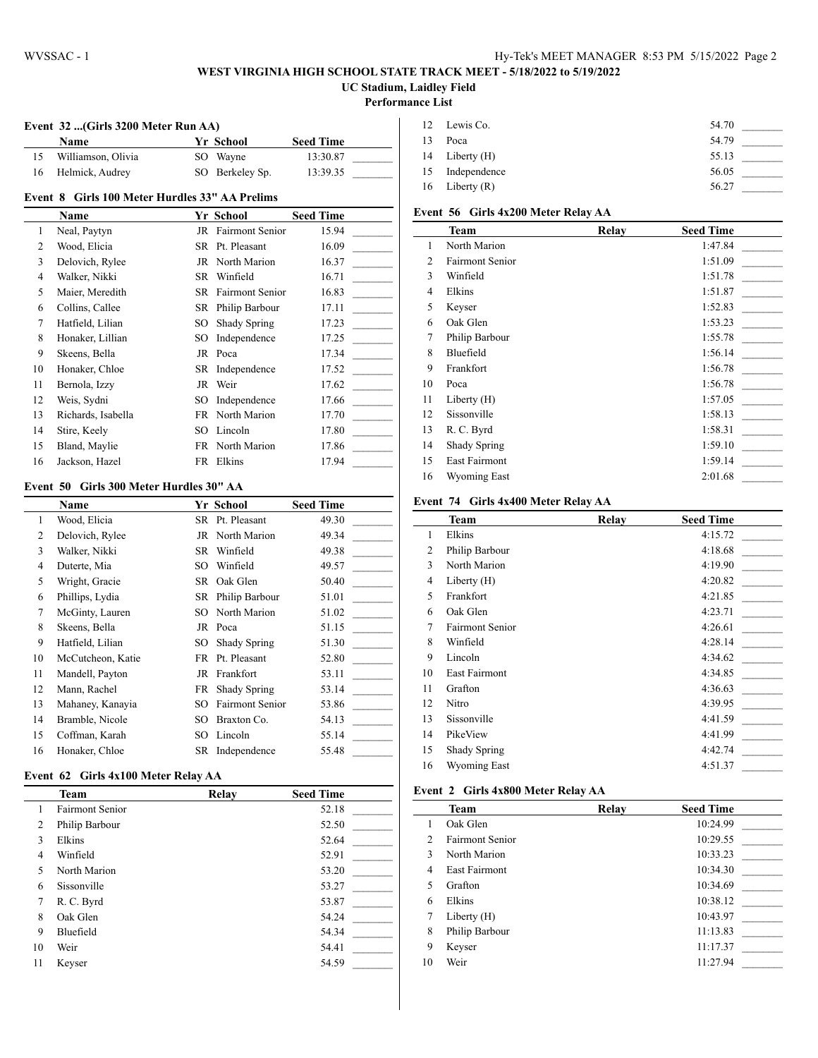## **WEST VIRGINIA HIGH SCHOOL STATE TRACK MEET - 5/18/2022 to 5/19/2022 UC Stadium, Laidley Field**

#### **Performance List**

 $\overline{a}$ 

 $\overline{a}$ 

## **Event 32 ...(Girls 3200 Meter Run AA)**

| <b>Name</b>        | Yr School       | <b>Seed Time</b> |  |
|--------------------|-----------------|------------------|--|
| Williamson, Olivia | SO Wavne        | 13:30.87         |  |
| Helmick, Audrey    | SO Berkeley Sp. | 13:39.35         |  |

## **Event 8 Girls 100 Meter Hurdles 33" AA Prelims**

|    | Name               |     | Yr School                 | <b>Seed Time</b> |
|----|--------------------|-----|---------------------------|------------------|
| 1  | Neal, Paytyn       | JR  | <b>Fairmont Senior</b>    | 15.94            |
| 2  | Wood, Elicia       | SR. | Pt. Pleasant              | 16.09            |
| 3  | Delovich, Rylee    |     | JR North Marion           | 16.37            |
| 4  | Walker, Nikki      | SR  | Winfield                  | 16.71            |
| 5  | Maier, Meredith    |     | <b>SR</b> Fairmont Senior | 16.83            |
| 6  | Collins, Callee    |     | SR Philip Barbour         | 17.11            |
| 7  | Hatfield, Lilian   | SO  | Shady Spring              | 17.23            |
| 8  | Honaker, Lillian   | SO  | Independence              | 17.25            |
| 9  | Skeens, Bella      |     | JR Poca                   | 17.34            |
| 10 | Honaker, Chloe     |     | SR Independence           | 17.52            |
| 11 | Bernola, Izzy      | JR  | Weir                      | 17.62            |
| 12 | Weis, Sydni        | SO  | Independence              | 17.66            |
| 13 | Richards, Isabella | FR  | North Marion              | 17.70            |
| 14 | Stire, Keely       | SO. | Lincoln                   | 17.80            |
| 15 | Bland, Maylie      | FR  | North Marion              | 17.86            |
| 16 | Jackson, Hazel     | FR  | Elkins                    | 17.94            |

#### **Event 50 Girls 300 Meter Hurdles 30" AA**

|                | Name              |     | Yr School              | <b>Seed Time</b> |
|----------------|-------------------|-----|------------------------|------------------|
| 1              | Wood, Elicia      | SR. | Pt. Pleasant           | 49.30            |
| 2              | Delovich, Rylee   | JR  | North Marion           | 49.34            |
| 3              | Walker, Nikki     | SR  | Winfield               | 49.38            |
| $\overline{4}$ | Duterte, Mia      | SО  | Winfield               | 49.57            |
| 5              | Wright, Gracie    | SR  | Oak Glen               | 50.40            |
| 6              | Phillips, Lydia   | SR  | Philip Barbour         | 51.01            |
| 7              | McGinty, Lauren   | SО  | North Marion           | 51.02            |
| 8              | Skeens, Bella     | JR  | Poca                   | 51.15            |
| 9              | Hatfield, Lilian  | SO  | Shady Spring           | 51.30            |
| 10             | McCutcheon, Katie | FR  | Pt. Pleasant           | 52.80            |
| 11             | Mandell, Payton   | JR  | Frankfort              | 53.11            |
| 12             | Mann, Rachel      | FR  | Shady Spring           | 53.14            |
| 13             | Mahaney, Kanayia  | SО  | <b>Fairmont Senior</b> | 53.86            |
| 14             | Bramble, Nicole   | SО  | Braxton Co.            | 54.13            |
| 15             | Coffman, Karah    | SО  | Lincoln                | 55.14            |
| 16             | Honaker, Chloe    | SR  | Independence           | 55.48            |

#### **Event 62 Girls 4x100 Meter Relay AA**

|                | <b>Team</b>            | Relay | <b>Seed Time</b> |
|----------------|------------------------|-------|------------------|
| 1              | <b>Fairmont Senior</b> |       | 52.18            |
| 2              | Philip Barbour         |       | 52.50            |
| 3              | Elkins                 |       | 52.64            |
| $\overline{4}$ | Winfield               |       | 52.91            |
| 5              | North Marion           |       | 53.20            |
| 6              | Sissonville            |       | 53.27            |
| 7              | R. C. Byrd             |       | 53.87            |
| 8              | Oak Glen               |       | 54.24            |
| 9              | Bluefield              |       | 54.34            |
| 10             | Weir                   |       | 54.41            |
| 11             | Keyser                 |       | 54.59            |

|    | 12 Lewis Co.     | 54.70 |  |
|----|------------------|-------|--|
| 13 | Poca             | 54.79 |  |
|    | 14 Liberty (H)   | 55.13 |  |
|    | 15 Independence  | 56.05 |  |
|    | 16 Liberty $(R)$ | 56.27 |  |

# **Event 56 Girls 4x200 Meter Relay AA**

|                | <b>Team</b>            | Relay | <b>Seed Time</b> |
|----------------|------------------------|-------|------------------|
| 1              | North Marion           |       | 1:47.84          |
| 2              | <b>Fairmont Senior</b> |       | 1:51.09          |
| 3              | Winfield               |       | 1:51.78          |
| $\overline{4}$ | Elkins                 |       | 1:51.87          |
| 5              | Keyser                 |       | 1:52.83          |
| 6              | Oak Glen               |       | 1:53.23          |
| 7              | Philip Barbour         |       | 1:55.78          |
| 8              | Bluefield              |       | 1:56.14          |
| 9              | Frankfort              |       | 1:56.78          |
| 10             | Poca                   |       | 1:56.78          |
| 11             | Liberty (H)            |       | 1:57.05          |
| 12             | Sissonville            |       | 1:58.13          |
| 13             | R. C. Byrd             |       | 1:58.31          |
| 14             | Shady Spring           |       | 1:59.10          |
| 15             | <b>East Fairmont</b>   |       | 1:59.14          |
| 16             | Wyoming East           |       | 2:01.68          |

#### **Event 74 Girls 4x400 Meter Relay AA**

|                | Team            | Relay | <b>Seed Time</b> |
|----------------|-----------------|-------|------------------|
| 1              | Elkins          |       | 4:15.72          |
| 2              | Philip Barbour  |       | 4:18.68          |
| 3              | North Marion    |       | 4:19.90          |
| $\overline{4}$ | Liberty $(H)$   |       | 4:20.82          |
| 5              | Frankfort       |       | 4:21.85          |
| 6              | Oak Glen        |       | 4:23.71          |
| 7              | Fairmont Senior |       | 4:26.61          |
| 8              | Winfield        |       | 4:28.14          |
| 9              | Lincoln         |       | 4:34.62          |
| 10             | East Fairmont   |       | 4:34.85          |
| 11             | Grafton         |       | 4:36.63          |
| 12             | Nitro           |       | 4:39.95          |
| 13             | Sissonville     |       | 4:41.59          |
| 14             | PikeView        |       | 4:41.99          |
| 15             | Shady Spring    |       | 4:42.74          |
| 16             | Wyoming East    |       | 4:51.37          |

#### **Event 2 Girls 4x800 Meter Relay AA**

|                | Team                   | Relay | <b>Seed Time</b> |
|----------------|------------------------|-------|------------------|
| 1              | Oak Glen               |       | 10:24.99         |
| $\overline{2}$ | <b>Fairmont Senior</b> |       | 10:29.55         |
| 3              | North Marion           |       | 10:33.23         |
| 4              | <b>East Fairmont</b>   |       | 10:34.30         |
| 5              | Grafton                |       | 10:34.69         |
| 6              | Elkins                 |       | 10:38.12         |
| 7              | Liberty $(H)$          |       | 10:43.97         |
| 8              | Philip Barbour         |       | 11:13.83         |
| 9              | Keyser                 |       | 11:17.37         |
| 10             | Weir                   |       | 11:27.94         |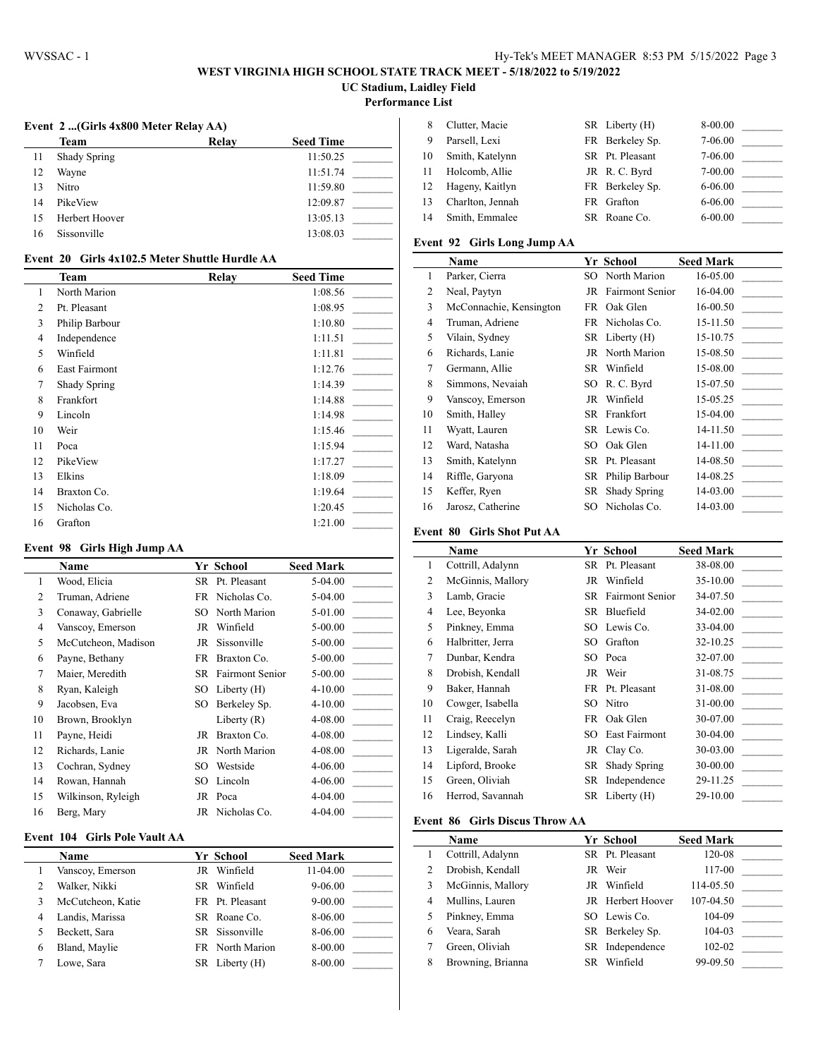## **WEST VIRGINIA HIGH SCHOOL STATE TRACK MEET - 5/18/2022 to 5/19/2022 UC Stadium, Laidley Field**

**Performance List**

 $\overline{a}$ 

## **Event 2 ...(Girls 4x800 Meter Relay AA)**

|    | Team                | Relay | <b>Seed Time</b> |
|----|---------------------|-------|------------------|
| 11 | <b>Shady Spring</b> |       | 11:50.25         |
| 12 | Wayne               |       | 11:51.74         |
| 13 | Nitro               |       | 11:59.80         |
| 14 | PikeView            |       | 12:09.87         |
| 15 | Herbert Hoover      |       | 13:05.13         |
| 16 | Sissonville         |       | 13:08.03         |
|    |                     |       |                  |

#### **Event 20 Girls 4x102.5 Meter Shuttle Hurdle AA**

|                | <b>Team</b>    | Relay | <b>Seed Time</b> |
|----------------|----------------|-------|------------------|
| 1              | North Marion   |       | 1:08.56          |
| $\overline{c}$ | Pt. Pleasant   |       | 1:08.95          |
| 3              | Philip Barbour |       | 1:10.80          |
| $\overline{4}$ | Independence   |       | 1:11.51          |
| 5              | Winfield       |       | 1:11.81          |
| 6              | East Fairmont  |       | 1:12.76          |
| 7              | Shady Spring   |       | 1:14.39          |
| 8              | Frankfort      |       | 1:14.88          |
| 9              | Lincoln        |       | 1:14.98          |
| 10             | Weir           |       | 1:15.46          |
| 11             | Poca           |       | 1:15.94          |
| 12             | PikeView       |       | 1:17.27          |
| 13             | Elkins         |       | 1:18.09          |
| 14             | Braxton Co.    |       | 1:19.64          |
| 15             | Nicholas Co.   |       | 1:20.45          |
| 16             | Grafton        |       | 1:21.00          |

#### **Event 98 Girls High Jump AA**

|                | Name                |      | Yr School                 | <b>Seed Mark</b> |
|----------------|---------------------|------|---------------------------|------------------|
| 1              | Wood, Elicia        |      | SR Pt. Pleasant           | 5-04.00          |
| $\overline{c}$ | Truman, Adriene     |      | FR Nicholas Co.           | $5-04.00$        |
| 3              | Conaway, Gabrielle  | SO.  | North Marion              | 5-01.00          |
| 4              | Vanscoy, Emerson    | JR   | Winfield                  | $5 - 00.00$      |
| 5              | McCutcheon, Madison | JR   | Sissonville               | $5 - 00.00$      |
| 6              | Payne, Bethany      | FR.  | Braxton Co.               | $5 - 00.00$      |
| 7              | Maier, Meredith     |      | <b>SR</b> Fairmont Senior | $5 - 00.00$      |
| 8              | Ryan, Kaleigh       | SO - | Liberty $(H)$             | $4 - 10.00$      |
| 9              | Jacobsen, Eva       | SO.  | Berkeley Sp.              | 4-10.00          |
| 10             | Brown, Brooklyn     |      | Liberty $(R)$             | 4-08.00          |
| 11             | Payne, Heidi        | JR   | Braxton Co.               | 4-08.00          |
| 12             | Richards, Lanie     |      | JR North Marion           | 4-08.00          |
| 13             | Cochran, Sydney     | SO.  | Westside                  | 4-06.00          |
| 14             | Rowan, Hannah       | SO   | Lincoln                   | 4-06.00          |
| 15             | Wilkinson, Ryleigh  | JR   | Poca                      | 4-04.00          |
| 16             | Berg, Mary          |      | JR Nicholas Co.           | 4-04.00          |

## **Event 104 Girls Pole Vault AA**

|   | <b>Name</b>       |    | Yr School       | <b>Seed Mark</b> |  |
|---|-------------------|----|-----------------|------------------|--|
|   | Vanscoy, Emerson  | JR | Winfield        | 11-04.00         |  |
| 2 | Walker, Nikki     |    | SR Winfield     | $9 - 06.00$      |  |
| 3 | McCutcheon, Katie |    | FR Pt. Pleasant | $9 - 00.00$      |  |
| 4 | Landis, Marissa   |    | SR Roane Co.    | 8-06.00          |  |
|   | Beckett, Sara     |    | SR Sissonville  | 8-06.00          |  |
| 6 | Bland, Maylie     |    | FR North Marion | 8-00.00          |  |
|   | Lowe, Sara        |    | SR Liberty (H)  | 8-00.00          |  |

|    | Clutter, Macie   | SR Liberty (H)  | 8-00.00     |  |
|----|------------------|-----------------|-------------|--|
| 9  | Parsell, Lexi    | FR Berkeley Sp. | 7-06.00     |  |
| 10 | Smith, Katelynn  | SR Pt. Pleasant | 7-06.00     |  |
| 11 | Holcomb, Allie   | JR R.C. Byrd    | 7-00.00     |  |
|    | Hageny, Kaitlyn  | FR Berkeley Sp. | $6 - 06.00$ |  |
|    | Charlton, Jennah | FR Grafton      | $6 - 06.00$ |  |
| 14 | Smith, Emmalee   | SR Roane Co.    | $6 - 00.00$ |  |
|    |                  |                 |             |  |

#### **Event 92 Girls Long Jump AA**

|                | <b>Name</b>             |     | Yr School          | <b>Seed Mark</b> |
|----------------|-------------------------|-----|--------------------|------------------|
| $\mathbf{1}$   | Parker, Cierra          |     | SO North Marion    | 16-05.00         |
| 2              | Neal, Paytyn            |     | JR Fairmont Senior | 16-04.00         |
| 3              | McConnachie, Kensington |     | FR Oak Glen        | $16 - 00.50$     |
| $\overline{4}$ | Truman, Adriene         |     | FR Nicholas Co.    | 15-11.50         |
| 5              | Vilain, Sydney          |     | SR Liberty (H)     | 15-10.75         |
| 6              | Richards, Lanie         |     | JR North Marion    | 15-08.50         |
| 7              | Germann, Allie          |     | SR Winfield        | 15-08.00         |
| 8              | Simmons, Nevaiah        |     | SO R. C. Byrd      | 15-07.50         |
| 9              | Vanscoy, Emerson        |     | JR Winfield        | 15-05.25         |
| 10             | Smith, Halley           |     | SR Frankfort       | 15-04.00         |
| 11             | Wyatt, Lauren           |     | SR Lewis Co.       | 14-11.50         |
| 12             | Ward, Natasha           |     | SO Oak Glen        | 14-11.00         |
| 13             | Smith, Katelynn         |     | SR Pt. Pleasant    | 14-08.50         |
| 14             | Riffle, Garyona         | SR. | Philip Barbour     | 14-08.25         |
| 15             | Keffer, Ryen            |     | SR Shady Spring    | 14-03.00         |
| 16             | Jarosz, Catherine       |     | SO Nicholas Co.    | 14-03.00         |

#### **Event 80 Girls Shot Put AA**

|                | <b>Name</b>       |     | Yr School                 | <b>Seed Mark</b> |
|----------------|-------------------|-----|---------------------------|------------------|
| 1              | Cottrill, Adalynn |     | SR Pt. Pleasant           | 38-08.00         |
| $\overline{2}$ | McGinnis, Mallory |     | JR Winfield               | 35-10.00         |
| 3              | Lamb, Gracie      |     | <b>SR</b> Fairmont Senior | 34-07.50         |
| $\overline{4}$ | Lee, Beyonka      |     | SR Bluefield              | 34-02.00         |
| 5              | Pinkney, Emma     |     | SO Lewis Co.              | 33-04.00         |
| 6              | Halbritter, Jerra |     | SO Grafton                | 32-10.25         |
| 7              | Dunbar, Kendra    |     | SO Poca                   | 32-07.00         |
| 8              | Drobish, Kendall  |     | JR Weir                   | 31-08.75         |
| 9              | Baker, Hannah     |     | FR Pt. Pleasant           | 31-08.00         |
| 10             | Cowger, Isabella  | SO. | Nitro                     | 31-00.00         |
| 11             | Craig, Reecelyn   |     | FR Oak Glen               | 30-07.00         |
| 12             | Lindsey, Kalli    |     | <b>SO</b> East Fairmont   | 30-04.00         |
| 13             | Ligeralde, Sarah  |     | JR Clay Co.               | 30-03.00         |
| 14             | Lipford, Brooke   | SR  | Shady Spring              | 30-00.00         |
| 15             | Green, Oliviah    |     | SR Independence           | 29-11.25         |
| 16             | Herrod, Savannah  |     | $SR$ Liberty $(H)$        | 29-10.00         |

#### **Event 86 Girls Discus Throw AA**

|                | <b>Name</b>       |     | Yr School                | <b>Seed Mark</b> |  |
|----------------|-------------------|-----|--------------------------|------------------|--|
|                | Cottrill, Adalynn |     | SR Pt. Pleasant          | 120-08           |  |
| $\overline{2}$ | Drobish, Kendall  |     | JR Weir                  | 117-00           |  |
| 3              | McGinnis, Mallory |     | JR Winfield              | 114-05.50        |  |
| 4              | Mullins, Lauren   |     | <b>JR</b> Herbert Hoover | 107-04.50        |  |
|                | Pinkney, Emma     |     | SO Lewis Co.             | 104-09           |  |
| 6              | Veara, Sarah      |     | SR Berkeley Sp.          | 104-03           |  |
|                | Green, Oliviah    |     | SR Independence          | 102-02           |  |
| 8              | Browning, Brianna | SR. | Winfield                 | 99-09.50         |  |